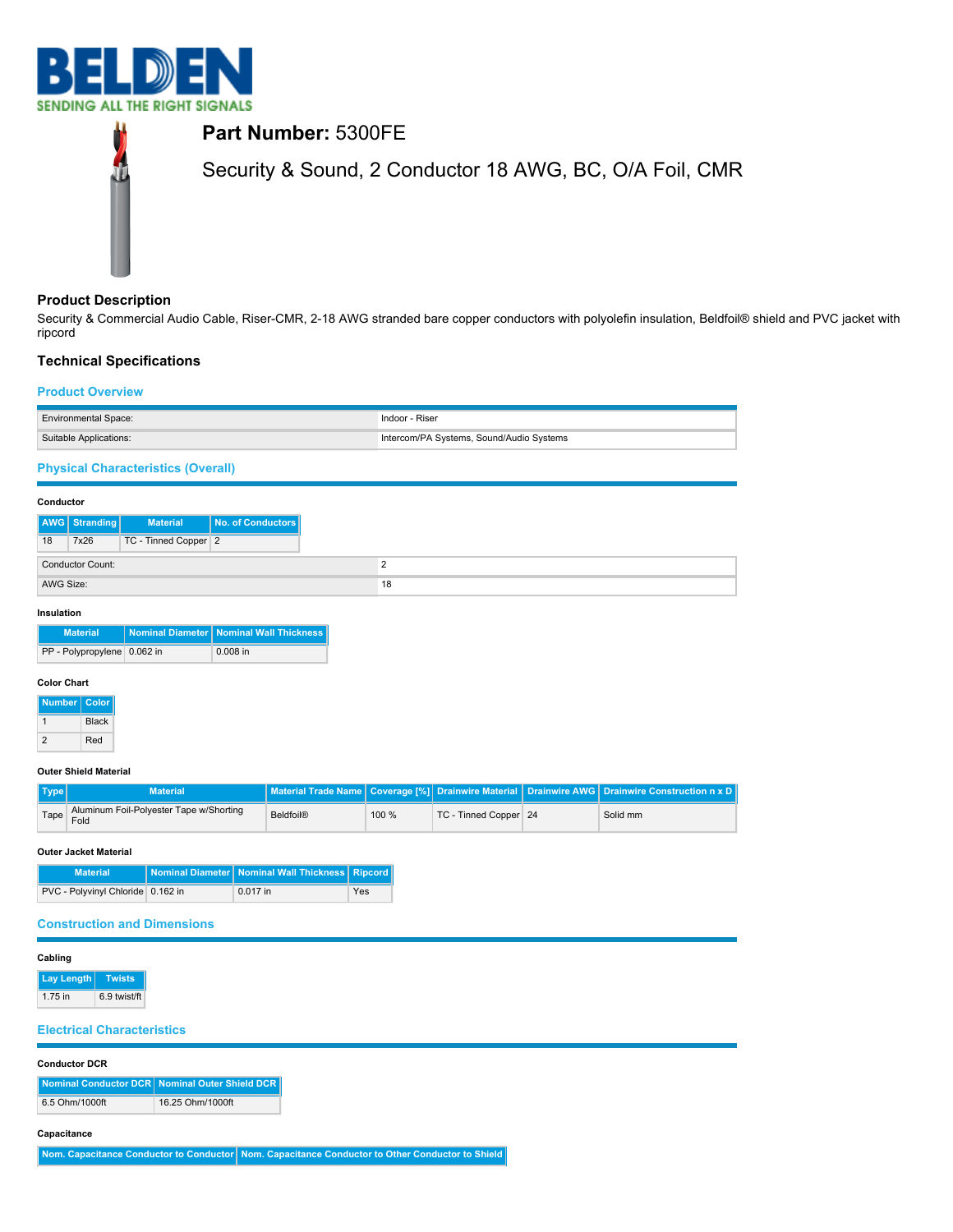



# **Product Description**

Security & Commercial Audio Cable, Riser-CMR, 2-18 AWG stranded bare copper conductors with polyolefin insulation, Beldfoil® shield and PVC jacket with ripcord

# **Technical Specifications**

## **Product Overview**

| <b>Environmental Space:</b> | Indoor - Riser                           |
|-----------------------------|------------------------------------------|
| Suitable Applications:      | Intercom/PA Systems, Sound/Audio Systems |

**Physical Characteristics (Overall)**

| Conductor |                  |                      |                   |
|-----------|------------------|----------------------|-------------------|
|           | AWG Stranding    | <b>Material</b>      | No. of Conductors |
| 18        | 7x26             | TC - Tinned Copper 2 |                   |
|           | Conductor Count: |                      |                   |
| AWG Size: |                  |                      |                   |

### **Insulation**

| <b>Material</b>             | Nominal Diameter Nominal Wall Thickness |
|-----------------------------|-----------------------------------------|
| PP - Polypropylene 0.062 in | $0.008$ in                              |

### **Color Chart**

| <b>Number</b> | Color        |
|---------------|--------------|
|               | <b>Black</b> |
| 2             | Red          |

#### **Outer Shield Material**

| Type | <b>Material</b>                                      |           |       |                       | Material Trade Name Coverage [%] Drainwire Material Drainwire AWG Drainwire Construction n x D |
|------|------------------------------------------------------|-----------|-------|-----------------------|------------------------------------------------------------------------------------------------|
|      | Tape Aluminum Foil-Polyester Tape w/Shorting<br>Fold | Beldfoil® | 100 % | TC - Tinned Copper 24 | Solid mm                                                                                       |

### **Outer Jacket Material**

| <b>Material</b>                   | Nominal Diameter   Nominal Wall Thickness   Ripcord |            |
|-----------------------------------|-----------------------------------------------------|------------|
| PVC - Polyvinyl Chloride 0.162 in | 0.017 in                                            | <b>Yes</b> |

## **Construction and Dimensions**

### **Cabling**

**Lay Length Twists** 1.75 in 6.9 twist/ft

## **Electrical Characteristics**

| <b>Conductor DCR</b> |  |
|----------------------|--|
|                      |  |

|                | Nominal Conductor DCR Nominal Outer Shield DCR |
|----------------|------------------------------------------------|
| 6.5 Ohm/1000ft | 16.25 Ohm/1000ft                               |

#### **Capacitance**

**Nom. Capacitance Conductor to Conductor Nom. Capacitance Conductor to Other Conductor to Shield**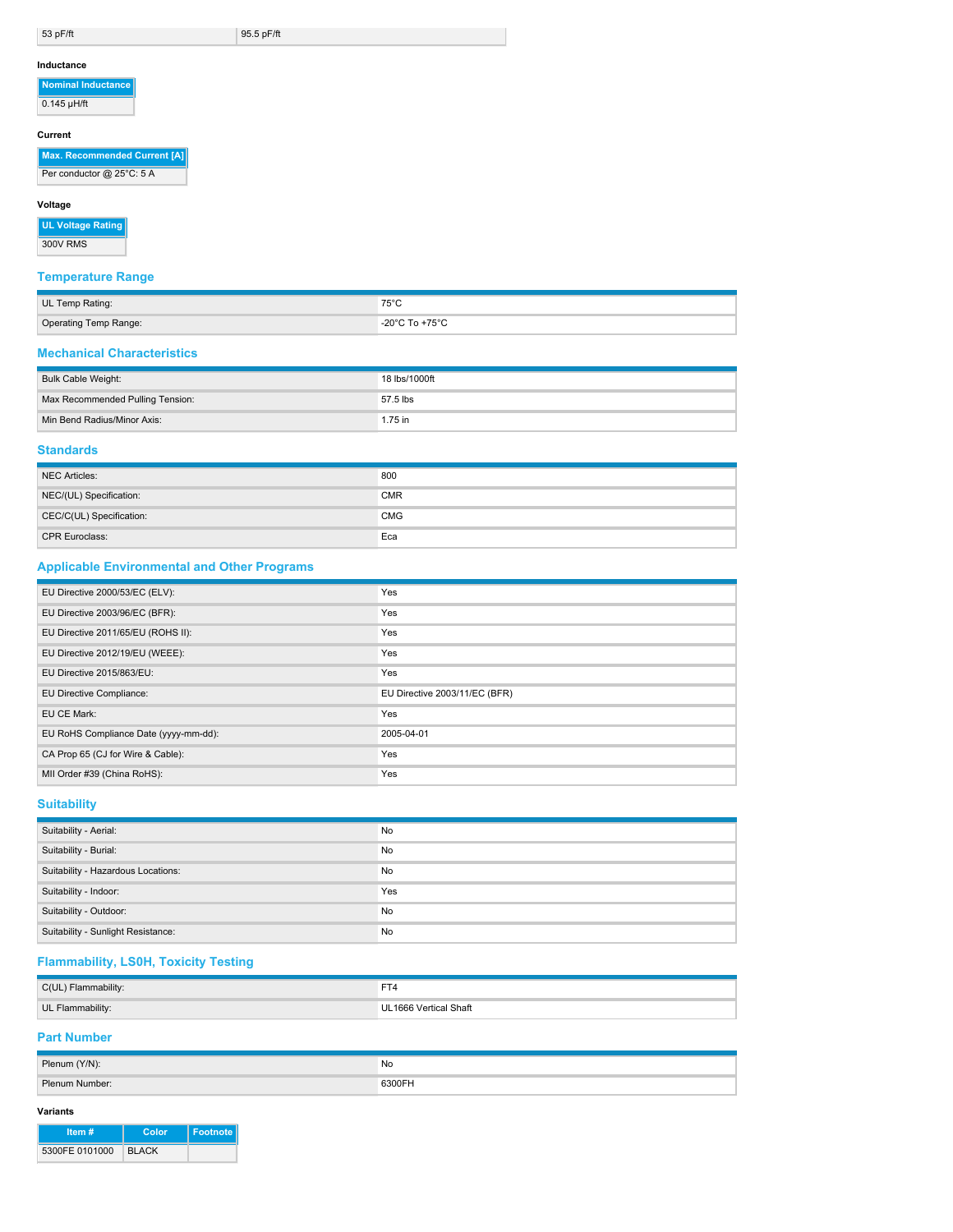53 pF/ft 95.5 pF/ft

#### **Inductance**

**Nominal Inductance**  $\sqrt{0.145 \mu H / \text{ft}}$ 

#### **Current**

# **Max. Recommended Current [A]**

Per conductor @ 25°C: 5 A

### **Voltage**

**UL Voltage Rating** 300V RMS

# **Temperature Range**

| UL Temp Rating:       | $75^\circ C$<br>ט ט                |
|-----------------------|------------------------------------|
| Operating Temp Range: | $-20^{\circ}$ C To $+75^{\circ}$ C |

### **Mechanical Characteristics**

| Bulk Cable Weight:               | 18 lbs/1000ft |
|----------------------------------|---------------|
| Max Recommended Pulling Tension: | 57.5 lbs      |
| Min Bend Radius/Minor Axis:      | 1.75 in       |

## **Standards**

| NEC Articles:            | 800        |
|--------------------------|------------|
| NEC/(UL) Specification:  | <b>CMR</b> |
| CEC/C(UL) Specification: | <b>CMG</b> |
| <b>CPR Euroclass:</b>    | Eca        |

### **Applicable Environmental and Other Programs**

| EU Directive 2000/53/EC (ELV):        | Yes                           |
|---------------------------------------|-------------------------------|
| EU Directive 2003/96/EC (BFR):        | Yes                           |
| EU Directive 2011/65/EU (ROHS II):    | Yes                           |
| EU Directive 2012/19/EU (WEEE):       | Yes                           |
| EU Directive 2015/863/EU:             | Yes                           |
| EU Directive Compliance:              | EU Directive 2003/11/EC (BFR) |
| EU CE Mark:                           | Yes                           |
| EU RoHS Compliance Date (yyyy-mm-dd): | 2005-04-01                    |
| CA Prop 65 (CJ for Wire & Cable):     | Yes                           |
| MII Order #39 (China RoHS):           | Yes                           |

# **Suitability**

| Suitability - Aerial:              | No  |
|------------------------------------|-----|
| Suitability - Burial:              | No  |
| Suitability - Hazardous Locations: | No. |
| Suitability - Indoor:              | Yes |
| Suitability - Outdoor:             | No  |
| Suitability - Sunlight Resistance: | No  |

# **Flammability, LS0H, Toxicity Testing**

| C(UL) Flammability: | ---                   |
|---------------------|-----------------------|
| UL Flammability:    | UL1666 Vertical Shaft |

# **Part Number**

| Plenum (Y/N):  | No.    |
|----------------|--------|
| Plenum Number: | 6300FH |

### **Variants**

| Item $#$       | Color        | Footnote |
|----------------|--------------|----------|
| 5300FE 0101000 | <b>BLACK</b> |          |